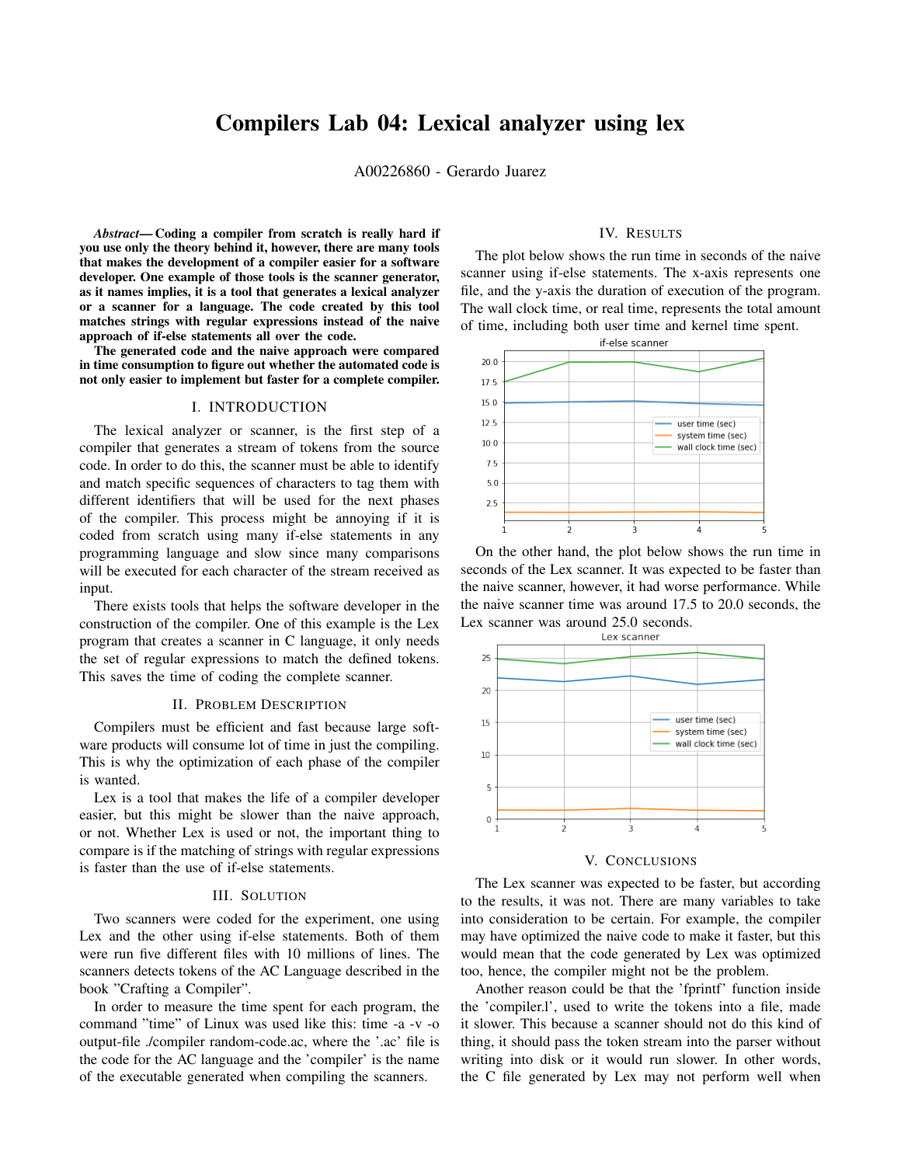# Compilers Lab 04: Lexical analyzer using lex

A00226860 - Gerardo Juarez

*Abstract*— Coding a compiler from scratch is really hard if you use only the theory behind it, however, there are many tools that makes the development of a compiler easier for a software developer. One example of those tools is the scanner generator, as it names implies, it is a tool that generates a lexical analyzer or a scanner for a language. The code created by this tool matches strings with regular expressions instead of the naive approach of if-else statements all over the code.

The generated code and the naive approach were compared in time consumption to figure out whether the automated code is not only easier to implement but faster for a complete compiler.

#### I. INTRODUCTION

The lexical analyzer or scanner, is the first step of a compiler that generates a stream of tokens from the source code. In order to do this, the scanner must be able to identify and match specific sequences of characters to tag them with different identifiers that will be used for the next phases of the compiler. This process might be annoying if it is coded from scratch using many if-else statements in any programming language and slow since many comparisons will be executed for each character of the stream received as input.

There exists tools that helps the software developer in the construction of the compiler. One of this example is the Lex program that creates a scanner in C language, it only needs the set of regular expressions to match the defined tokens. This saves the time of coding the complete scanner.

### II. PROBLEM DESCRIPTION

Compilers must be efficient and fast because large software products will consume lot of time in just the compiling. This is why the optimization of each phase of the compiler is wanted.

Lex is a tool that makes the life of a compiler developer easier, but this might be slower than the naive approach, or not. Whether Lex is used or not, the important thing to compare is if the matching of strings with regular expressions is faster than the use of if-else statements.

# III. SOLUTION

Two scanners were coded for the experiment, one using Lex and the other using if-else statements. Both of them were run five different files with 10 millions of lines. The scanners detects tokens of the AC Language described in the book "Crafting a Compiler".

In order to measure the time spent for each program, the command "time" of Linux was used like this: time -a -v -o output-file ./compiler random-code.ac, where the '.ac' file is the code for the AC language and the 'compiler' is the name of the executable generated when compiling the scanners.

# IV. RESULTS

The plot below shows the run time in seconds of the naive scanner using if-else statements. The x-axis represents one file, and the y-axis the duration of execution of the program. The wall clock time, or real time, represents the total amount of time, including both user time and kernel time spent.



On the other hand, the plot below shows the run time in seconds of the Lex scanner. It was expected to be faster than the naive scanner, however, it had worse performance. While the naive scanner time was around 17.5 to 20.0 seconds, the Lex scanner was around 25.0 seconds.<br>Lex scanner



#### V. CONCLUSIONS

The Lex scanner was expected to be faster, but according to the results, it was not. There are many variables to take into consideration to be certain. For example, the compiler may have optimized the naive code to make it faster, but this would mean that the code generated by Lex was optimized too, hence, the compiler might not be the problem.

Another reason could be that the 'fprintf' function inside the 'compiler.l', used to write the tokens into a file, made it slower. This because a scanner should not do this kind of thing, it should pass the token stream into the parser without writing into disk or it would run slower. In other words, the C file generated by Lex may not perform well when